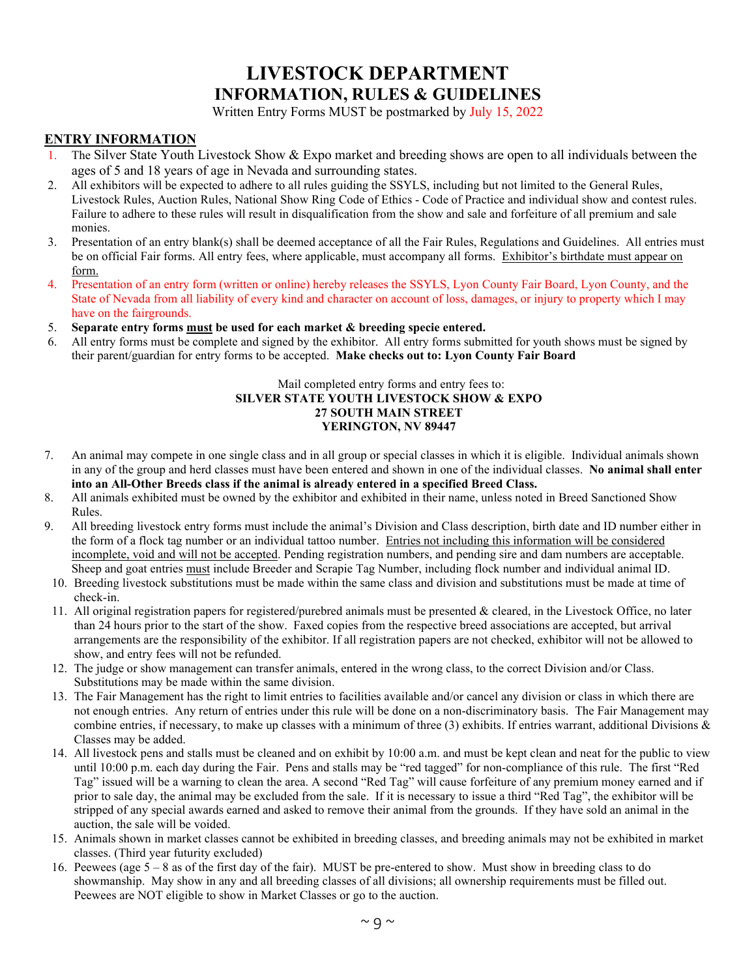Written Entry Forms MUST be postmarked by July 15, 2022

#### **ENTRY INFORMATION**

- The Silver State Youth Livestock Show & Expo market and breeding shows are open to all individuals between the ages of 5 and 18 years of age in Nevada and surrounding states.
- 2. All exhibitors will be expected to adhere to all rules guiding the SSYLS, including but not limited to the General Rules, Livestock Rules, Auction Rules, National Show Ring Code of Ethics - Code of Practice and individual show and contest rules. Failure to adhere to these rules will result in disqualification from the show and sale and forfeiture of all premium and sale monies.
- 3. Presentation of an entry blank(s) shall be deemed acceptance of all the Fair Rules, Regulations and Guidelines. All entries must be on official Fair forms. All entry fees, where applicable, must accompany all forms. Exhibitor's birthdate must appear on form.
- 4. Presentation of an entry form (written or online) hereby releases the SSYLS, Lyon County Fair Board, Lyon County, and the State of Nevada from all liability of every kind and character on account of loss, damages, or injury to property which I may have on the fairgrounds.
- 5. **Separate entry forms must be used for each market & breeding specie entered.**
- 6. All entry forms must be complete and signed by the exhibitor. All entry forms submitted for youth shows must be signed by their parent/guardian for entry forms to be accepted. **Make checks out to: Lyon County Fair Board**

#### Mail completed entry forms and entry fees to: **SILVER STATE YOUTH LIVESTOCK SHOW & EXPO 27 SOUTH MAIN STREET YERINGTON, NV 89447**

- 7. An animal may compete in one single class and in all group or special classes in which it is eligible. Individual animals shown in any of the group and herd classes must have been entered and shown in one of the individual classes. **No animal shall enter into an All-Other Breeds class if the animal is already entered in a specified Breed Class.**
- 8. All animals exhibited must be owned by the exhibitor and exhibited in their name, unless noted in Breed Sanctioned Show Rules.
- 9. All breeding livestock entry forms must include the animal's Division and Class description, birth date and ID number either in the form of a flock tag number or an individual tattoo number. Entries not including this information will be considered incomplete, void and will not be accepted. Pending registration numbers, and pending sire and dam numbers are acceptable. Sheep and goat entries must include Breeder and Scrapie Tag Number, including flock number and individual animal ID.
- 10. Breeding livestock substitutions must be made within the same class and division and substitutions must be made at time of check-in.
- 11. All original registration papers for registered/purebred animals must be presented & cleared, in the Livestock Office, no later than 24 hours prior to the start of the show. Faxed copies from the respective breed associations are accepted, but arrival arrangements are the responsibility of the exhibitor. If all registration papers are not checked, exhibitor will not be allowed to show, and entry fees will not be refunded.
- 12. The judge or show management can transfer animals, entered in the wrong class, to the correct Division and/or Class. Substitutions may be made within the same division.
- 13. The Fair Management has the right to limit entries to facilities available and/or cancel any division or class in which there are not enough entries. Any return of entries under this rule will be done on a non-discriminatory basis. The Fair Management may combine entries, if necessary, to make up classes with a minimum of three (3) exhibits. If entries warrant, additional Divisions  $\&$ Classes may be added.
- 14. All livestock pens and stalls must be cleaned and on exhibit by 10:00 a.m. and must be kept clean and neat for the public to view until 10:00 p.m. each day during the Fair. Pens and stalls may be "red tagged" for non-compliance of this rule. The first "Red Tag" issued will be a warning to clean the area. A second "Red Tag" will cause forfeiture of any premium money earned and if prior to sale day, the animal may be excluded from the sale. If it is necessary to issue a third "Red Tag", the exhibitor will be stripped of any special awards earned and asked to remove their animal from the grounds. If they have sold an animal in the auction, the sale will be voided.
- 15. Animals shown in market classes cannot be exhibited in breeding classes, and breeding animals may not be exhibited in market classes. (Third year futurity excluded)
- 16. Peewees (age 5 8 as of the first day of the fair). MUST be pre-entered to show. Must show in breeding class to do showmanship. May show in any and all breeding classes of all divisions; all ownership requirements must be filled out. Peewees are NOT eligible to show in Market Classes or go to the auction.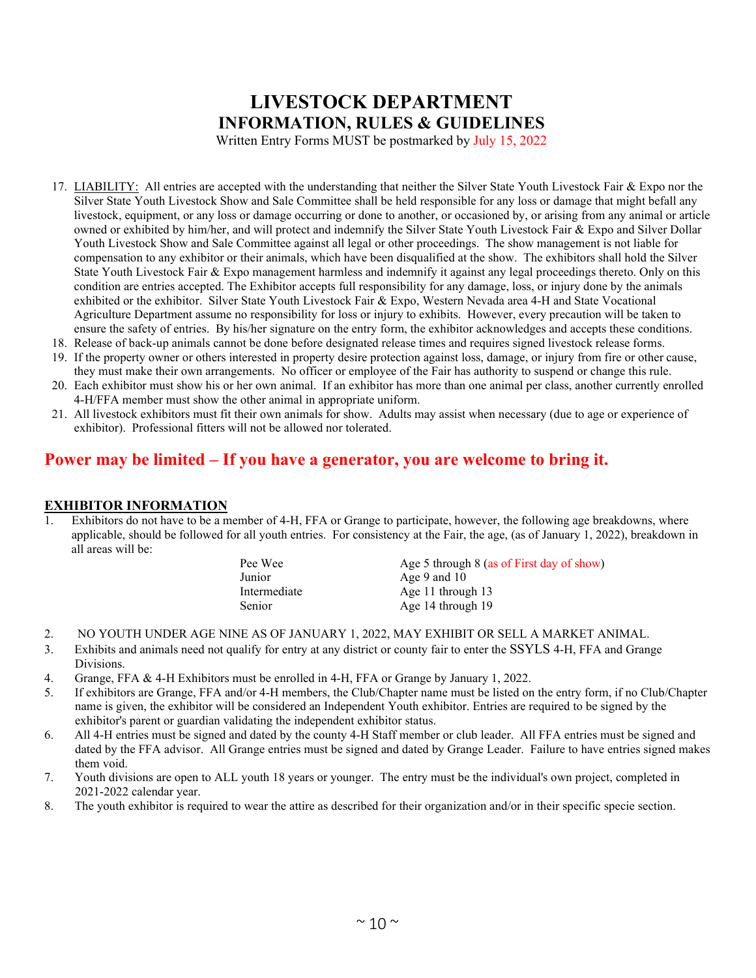Written Entry Forms MUST be postmarked by July 15, 2022

- 17. LIABILITY: All entries are accepted with the understanding that neither the Silver State Youth Livestock Fair & Expo nor the Silver State Youth Livestock Show and Sale Committee shall be held responsible for any loss or damage that might befall any livestock, equipment, or any loss or damage occurring or done to another, or occasioned by, or arising from any animal or article owned or exhibited by him/her, and will protect and indemnify the Silver State Youth Livestock Fair & Expo and Silver Dollar Youth Livestock Show and Sale Committee against all legal or other proceedings. The show management is not liable for compensation to any exhibitor or their animals, which have been disqualified at the show. The exhibitors shall hold the Silver State Youth Livestock Fair & Expo management harmless and indemnify it against any legal proceedings thereto. Only on this condition are entries accepted. The Exhibitor accepts full responsibility for any damage, loss, or injury done by the animals exhibited or the exhibitor. Silver State Youth Livestock Fair & Expo, Western Nevada area 4-H and State Vocational Agriculture Department assume no responsibility for loss or injury to exhibits. However, every precaution will be taken to ensure the safety of entries. By his/her signature on the entry form, the exhibitor acknowledges and accepts these conditions.
- 18. Release of back-up animals cannot be done before designated release times and requires signed livestock release forms.
- 19. If the property owner or others interested in property desire protection against loss, damage, or injury from fire or other cause, they must make their own arrangements. No officer or employee of the Fair has authority to suspend or change this rule.
- 20. Each exhibitor must show his or her own animal. If an exhibitor has more than one animal per class, another currently enrolled 4-H/FFA member must show the other animal in appropriate uniform.
- 21. All livestock exhibitors must fit their own animals for show. Adults may assist when necessary (due to age or experience of exhibitor). Professional fitters will not be allowed nor tolerated.

## **Power may be limited – If you have a generator, you are welcome to bring it.**

#### **EXHIBITOR INFORMATION**

Exhibitors do not have to be a member of 4-H, FFA or Grange to participate, however, the following age breakdowns, where applicable, should be followed for all youth entries. For consistency at the Fair, the age, (as of January 1, 2022), breakdown in all areas will be:

Pee Wee Age 5 through 8 (as of First day of show) Junior Age 9 and 10 Intermediate Age 11 through 13<br>Senior Age 14 through 19 Age 14 through 19

- 2. NO YOUTH UNDER AGE NINE AS OF JANUARY 1, 2022, MAY EXHIBIT OR SELL A MARKET ANIMAL.
- 3. Exhibits and animals need not qualify for entry at any district or county fair to enter the SSYLS 4-H, FFA and Grange Divisions.
- 4. Grange, FFA & 4-H Exhibitors must be enrolled in 4-H, FFA or Grange by January 1, 2022.
- 5. If exhibitors are Grange, FFA and/or 4-H members, the Club/Chapter name must be listed on the entry form, if no Club/Chapter name is given, the exhibitor will be considered an Independent Youth exhibitor. Entries are required to be signed by the exhibitor's parent or guardian validating the independent exhibitor status.
- 6. All 4-H entries must be signed and dated by the county 4-H Staff member or club leader. All FFA entries must be signed and dated by the FFA advisor. All Grange entries must be signed and dated by Grange Leader. Failure to have entries signed makes them void.
- 7. Youth divisions are open to ALL youth 18 years or younger. The entry must be the individual's own project, completed in 2021-2022 calendar year.
- 8. The youth exhibitor is required to wear the attire as described for their organization and/or in their specific specie section.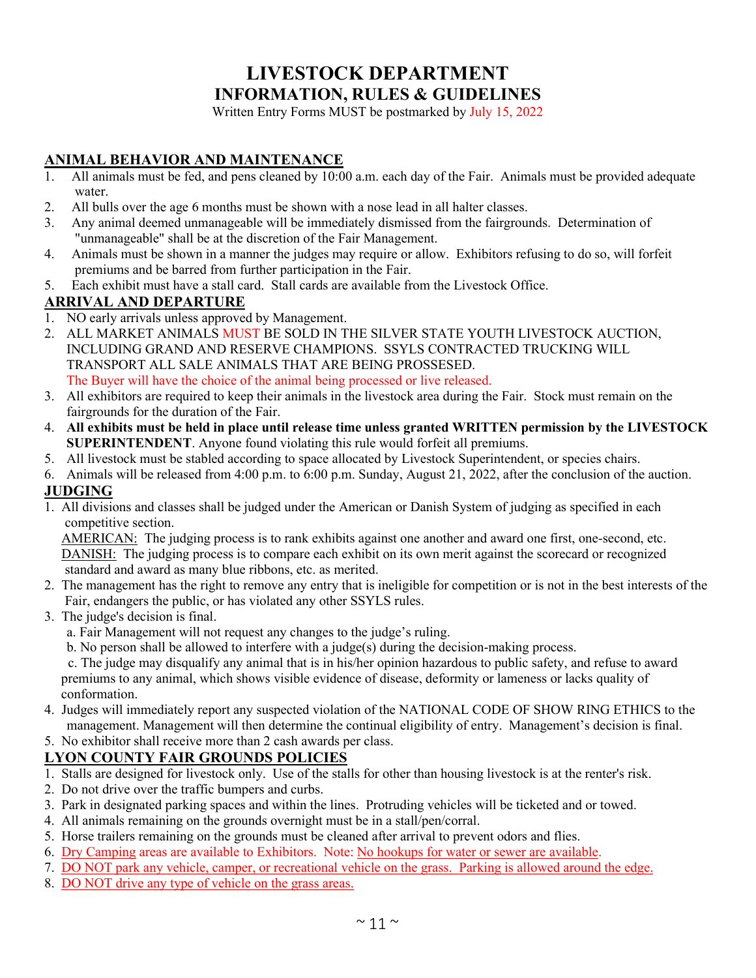Written Entry Forms MUST be postmarked by July 15, 2022

## **ANIMAL BEHAVIOR AND MAINTENANCE**

- 1. All animals must be fed, and pens cleaned by  $10:00$  a.m. each day of the Fair. Animals must be provided adequate water.
- 2. All bulls over the age 6 months must be shown with a nose lead in all halter classes.
- 3. Any animal deemed unmanageable will be immediately dismissed from the fairgrounds. Determination of "unmanageable" shall be at the discretion of the Fair Management.
- 4. Animals must be shown in a manner the judges may require or allow. Exhibitors refusing to do so, will forfeit premiums and be barred from further participation in the Fair.
- 5. Each exhibit must have a stall card. Stall cards are available from the Livestock Office.

### **ARRIVAL AND DEPARTURE**

- 1. NO early arrivals unless approved by Management.
- 2. ALL MARKET ANIMALS MUST BE SOLD IN THE SILVER STATE YOUTH LIVESTOCK AUCTION, INCLUDING GRAND AND RESERVE CHAMPIONS. SSYLS CONTRACTED TRUCKING WILL TRANSPORT ALL SALE ANIMALS THAT ARE BEING PROSSESED. The Buyer will have the choice of the animal being processed or live released.
- 3. All exhibitors are required to keep their animals in the livestock area during the Fair. Stock must remain on the fairgrounds for the duration of the Fair.
- 4. **All exhibits must be held in place until release time unless granted WRITTEN permission by the LIVESTOCK SUPERINTENDENT**. Anyone found violating this rule would forfeit all premiums.
- 5. All livestock must be stabled according to space allocated by Livestock Superintendent, or species chairs.

6. Animals will be released from 4:00 p.m. to 6:00 p.m. Sunday, August 21, 2022, after the conclusion of the auction.

### **JUDGING**

1. All divisions and classes shall be judged under the American or Danish System of judging as specified in each competitive section.

AMERICAN: The judging process is to rank exhibits against one another and award one first, one-second, etc. DANISH: The judging process is to compare each exhibit on its own merit against the scorecard or recognized standard and award as many blue ribbons, etc. as merited.

- 2. The management has the right to remove any entry that is ineligible for competition or is not in the best interests of the Fair, endangers the public, or has violated any other SSYLS rules.
- 3. The judge's decision is final.
	- a. Fair Management will not request any changes to the judge's ruling.
	- b. No person shall be allowed to interfere with a judge(s) during the decision-making process.

 c. The judge may disqualify any animal that is in his/her opinion hazardous to public safety, and refuse to award premiums to any animal, which shows visible evidence of disease, deformity or lameness or lacks quality of conformation.

- 4. Judges will immediately report any suspected violation of the NATIONAL CODE OF SHOW RING ETHICS to the management. Management will then determine the continual eligibility of entry. Management's decision is final.
- 5. No exhibitor shall receive more than 2 cash awards per class.

### **LYON COUNTY FAIR GROUNDS POLICIES**

- 1. Stalls are designed for livestock only. Use of the stalls for other than housing livestock is at the renter's risk.
- 2. Do not drive over the traffic bumpers and curbs.
- 3. Park in designated parking spaces and within the lines. Protruding vehicles will be ticketed and or towed.
- 4. All animals remaining on the grounds overnight must be in a stall/pen/corral.
- 5. Horse trailers remaining on the grounds must be cleaned after arrival to prevent odors and flies.
- 6. Dry Camping areas are available to Exhibitors. Note: No hookups for water or sewer are available.
- 7. DO NOT park any vehicle, camper, or recreational vehicle on the grass. Parking is allowed around the edge.
- 8. DO NOT drive any type of vehicle on the grass areas.